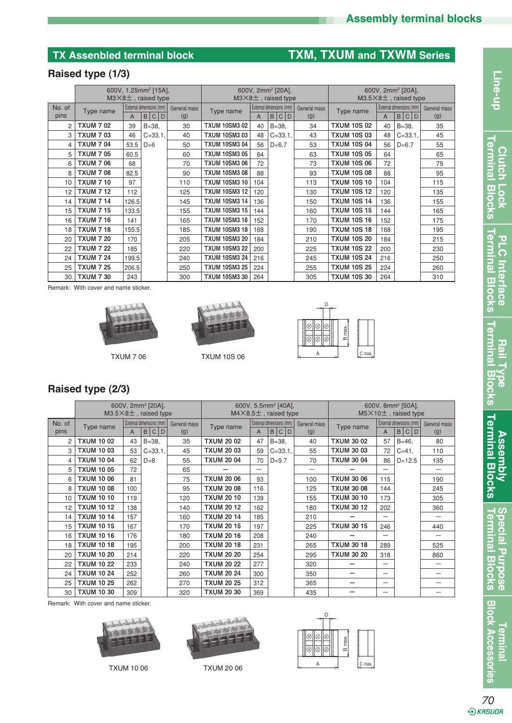# **TX Assenbled terminal block TXM, TXUM and TXWM Series**

## **Raised type (1/3)**

|                |                  | 600V, 1.25mm <sup>2</sup> [15A],<br>$M3\times8$ $\pm$ , raised type |                                                   | 600V, 2mm <sup>2</sup> [20A],<br>$M3\times8$ ±, raised type |                      |     |                                     | 600V, 2mm <sup>2</sup> [20A],<br>$M3.5\times8$ ±, raised type |                    |     |                                      |                     |
|----------------|------------------|---------------------------------------------------------------------|---------------------------------------------------|-------------------------------------------------------------|----------------------|-----|-------------------------------------|---------------------------------------------------------------|--------------------|-----|--------------------------------------|---------------------|
| No. of<br>pins | Type name        | A                                                                   | External dimensions (mm)  <br>B C <br>$\mathsf D$ | General mass<br>(g)                                         | Type name            | A   | External dimensions (mm)  <br>B C D | General mass<br>(g)                                           | Type name          | A   | External dimensions (mm)<br>C D<br>B | General mass<br>(g) |
| 2              | <b>TXUM 702</b>  | 39                                                                  | $B = 38$ .                                        | 30                                                          | <b>TXUM 10SM3 02</b> | 40  | $B = 38$ .                          | 34                                                            | <b>TXUM 10S 02</b> | 40  | $B = 38$                             | 35                  |
| 3              | <b>TXUM 703</b>  | 46                                                                  | $C = 33.1$                                        | 40                                                          | <b>TXUM 10SM3 03</b> | 48  | $C = 33.1$                          | 43                                                            | <b>TXUM 10S 03</b> | 48  | $C = 33.1$                           | 45                  |
| 4              | <b>TXUM 704</b>  | 53.5                                                                | $D=6$                                             | 50                                                          | <b>TXUM 10SM3 04</b> | 56  | $D=6.7$                             | 53                                                            | <b>TXUM 10S 04</b> | 56  | $D=6.7$                              | 55                  |
| 5              | <b>TXUM 705</b>  | 60.5                                                                |                                                   | 60                                                          | <b>TXUM 10SM3 05</b> | 64  |                                     | 63                                                            | <b>TXUM 10S 05</b> | 64  |                                      | 65                  |
| 6              | <b>TXUM 706</b>  | 68                                                                  |                                                   | 70                                                          | <b>TXUM 10SM3 06</b> | 72  |                                     | 73                                                            | <b>TXUM 10S 06</b> | 72  |                                      | 75                  |
| 8              | <b>TXUM 708</b>  | 82.5                                                                |                                                   | 90                                                          | <b>TXUM 10SM3 08</b> | 88  |                                     | 93                                                            | <b>TXUM 10S 08</b> | 88  |                                      | 95                  |
| 10             | <b>TXUM 7 10</b> | 97                                                                  |                                                   | 110                                                         | <b>TXUM 10SM3 10</b> | 104 |                                     | 113                                                           | <b>TXUM 10S 10</b> | 104 |                                      | 115                 |
| 12             | <b>TXUM 7 12</b> | 112                                                                 |                                                   | 125                                                         | <b>TXUM 10SM3 12</b> | 120 |                                     | 130                                                           | <b>TXUM 10S 12</b> | 120 |                                      | 135                 |
| 14             | <b>TXUM 7 14</b> | 126.5                                                               |                                                   | 145                                                         | <b>TXUM 10SM3 14</b> | 136 |                                     | 150                                                           | <b>TXUM 10S 14</b> | 136 |                                      | 155                 |
| 15             | <b>TXUM 7 15</b> | 133.5                                                               |                                                   | 155                                                         | <b>TXUM 10SM3 15</b> | 144 |                                     | 160                                                           | <b>TXUM 10S 15</b> | 144 |                                      | 165                 |
| 16             | <b>TXUM 7 16</b> | 141                                                                 |                                                   | 165                                                         | <b>TXUM 10SM3 16</b> | 152 |                                     | 170                                                           | <b>TXUM 10S 16</b> | 152 |                                      | 175                 |
| 18             | <b>TXUM 7 18</b> | 155.5                                                               |                                                   | 185                                                         | <b>TXUM 10SM3 18</b> | 168 |                                     | 190                                                           | <b>TXUM 10S 18</b> | 168 |                                      | 195                 |
| 20             | <b>TXUM 7 20</b> | 170                                                                 |                                                   | 205                                                         | <b>TXUM 10SM3 20</b> | 184 |                                     | 210                                                           | <b>TXUM 10S 20</b> | 184 |                                      | 215                 |
| 22             | <b>TXUM 7 22</b> | 185                                                                 |                                                   | 220                                                         | <b>TXUM 10SM3 22</b> | 200 |                                     | 225                                                           | <b>TXUM 10S 22</b> | 200 |                                      | 230                 |
| 24             | <b>TXUM 7 24</b> | 199.5                                                               |                                                   | 240                                                         | <b>TXUM 10SM3 24</b> | 216 |                                     | 245                                                           | <b>TXUM 10S 24</b> | 216 |                                      | 250                 |
| 25             | <b>TXUM 7 25</b> | 206.5                                                               |                                                   | 250                                                         | <b>TXUM 10SM3 25</b> | 224 |                                     | 255                                                           | <b>TXUM 10S 25</b> | 224 |                                      | 260                 |
| 30             | <b>TXUM 7 30</b> | 243                                                                 |                                                   | 300                                                         | <b>TXUM 10SM3 30</b> | 264 |                                     | 305                                                           | <b>TXUM 10S 30</b> | 264 |                                      | 310                 |

Remark: With cover and name sticker.





TXUM 7 06 TXUM 10S 06



## **Raised type (2/3)**

|                |                   | 600V, 2mm <sup>2</sup> [20A],<br>$M3.5\times8\pm$ , raised type |                                   | 600V, 5.5mm <sup>2</sup> [40A],<br>$M4\times8.5\pm$ , raised type |                   |     |                                                | 600V, 8mm <sup>2</sup> [50A],<br>$M5\times10+$ , raised type |                   |                          |                                   |                     |
|----------------|-------------------|-----------------------------------------------------------------|-----------------------------------|-------------------------------------------------------------------|-------------------|-----|------------------------------------------------|--------------------------------------------------------------|-------------------|--------------------------|-----------------------------------|---------------------|
| No. of<br>pins | Type name         | A                                                               | External dimensions (mm)<br>B C D | General mass<br>(g)                                               | Type name         | A   | External dimensions (mm)<br>$\mathsf B$<br>C D | General mass<br>(g)                                          | Type name         | A                        | External dimensions (mm)<br>B C D | General mass<br>(g) |
| $\mathcal{P}$  | <b>TXUM 1002</b>  | 43                                                              | $B = 38$ .                        | 35                                                                | <b>TXUM 20 02</b> | 47  | $B = 38$ .                                     | 40                                                           | <b>TXUM 30 02</b> | 57                       | $B = 46$ .                        | 80                  |
| 3              | <b>TXUM 1003</b>  | 53                                                              | $C = 33.1$                        | 45                                                                | <b>TXUM 20 03</b> | 59  | $C = 33.1$                                     | 55                                                           | <b>TXUM 30 03</b> | 72                       | $C = 41$ .                        | 110                 |
| 4              | <b>TXUM 1004</b>  | 62                                                              | $D=8$                             | 55                                                                | <b>TXUM 20 04</b> | 70  | $D=9.7$                                        | 70                                                           | <b>TXUM 30 04</b> | 86                       | $D=12.5$                          | 135                 |
| 5              | <b>TXUM 10 05</b> | 72                                                              |                                   | 65                                                                |                   | —   |                                                | —                                                            |                   | —                        |                                   |                     |
| 6              | <b>TXUM 10 06</b> | 81                                                              |                                   | 75                                                                | <b>TXUM 20 06</b> | 93  |                                                | 100                                                          | <b>TXUM 30 06</b> | 115                      |                                   | 190                 |
| 8              | <b>TXUM 1008</b>  | 100                                                             |                                   | 95                                                                | <b>TXUM 20 08</b> | 116 |                                                | 125                                                          | <b>TXUM 30 08</b> | 144                      |                                   | 245                 |
| 10             | <b>TXUM 10 10</b> | 119                                                             |                                   | 120                                                               | <b>TXUM 20 10</b> | 139 |                                                | 155                                                          | <b>TXUM 30 10</b> | 173                      |                                   | 305                 |
| 12             | <b>TXUM 10 12</b> | 138                                                             |                                   | 140                                                               | <b>TXUM 2012</b>  | 162 |                                                | 180                                                          | <b>TXUM 30 12</b> | 202                      |                                   | 360                 |
| 14             | <b>TXUM 10 14</b> | 157                                                             |                                   | 160                                                               | <b>TXUM 2014</b>  | 185 |                                                | 210                                                          |                   | $\overline{\phantom{0}}$ |                                   |                     |
| 15             | <b>TXUM 10 15</b> | 167                                                             |                                   | 170                                                               | <b>TXUM 2015</b>  | 197 |                                                | 225                                                          | <b>TXUM 30 15</b> | 246                      |                                   | 440                 |
| 16             | <b>TXUM 10 16</b> | 176                                                             |                                   | 180                                                               | <b>TXUM 2016</b>  | 208 |                                                | 240                                                          |                   | $\overline{\phantom{0}}$ |                                   |                     |
| 18             | <b>TXUM 10 18</b> | 195                                                             |                                   | 200                                                               | <b>TXUM 2018</b>  | 231 |                                                | 265                                                          | <b>TXUM 30 18</b> | 289                      |                                   | 525                 |
| 20             | <b>TXUM 10 20</b> | 214                                                             |                                   | 220                                                               | <b>TXUM 20 20</b> | 254 |                                                | 295                                                          | <b>TXUM 30 20</b> | 318                      |                                   | 860                 |
| 22             | <b>TXUM 10 22</b> | 233                                                             |                                   | 240                                                               | <b>TXUM 20 22</b> | 277 |                                                | 320                                                          |                   | —                        |                                   |                     |
| 24             | <b>TXUM 10 24</b> | 252                                                             |                                   | 260                                                               | <b>TXUM 20 24</b> | 300 |                                                | 350                                                          |                   | $\overline{\phantom{0}}$ |                                   |                     |
| 25             | <b>TXUM 10 25</b> | 262                                                             |                                   | 270                                                               | <b>TXUM 20 25</b> | 312 |                                                | 365                                                          | -                 | $\overline{\phantom{0}}$ |                                   |                     |
| 30             | <b>TXUM 10 30</b> | 309                                                             |                                   | 320                                                               | <b>TXUM 20 30</b> | 369 |                                                | 435                                                          |                   | $\overline{\phantom{0}}$ |                                   |                     |

Remark: With cover and name sticker.